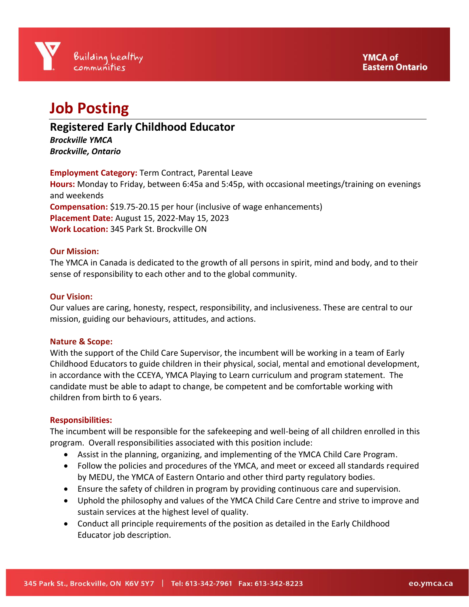# **Job Posting**

**Registered Early Childhood Educator**

*Brockville YMCA Brockville, Ontario*

**Employment Category:** Term Contract, Parental Leave **Hours:** Monday to Friday, between 6:45a and 5:45p, with occasional meetings/training on evenings and weekends **Compensation:** \$19.75-20.15 per hour (inclusive of wage enhancements) **Placement Date:** August 15, 2022-May 15, 2023 **Work Location:** 345 Park St. Brockville ON

## **Our Mission:**

The YMCA in Canada is dedicated to the growth of all persons in spirit, mind and body, and to their sense of responsibility to each other and to the global community.

## **Our Vision:**

Our values are caring, honesty, respect, responsibility, and inclusiveness. These are central to our mission, guiding our behaviours, attitudes, and actions.

## **Nature & Scope:**

With the support of the Child Care Supervisor, the incumbent will be working in a team of Early Childhood Educators to guide children in their physical, social, mental and emotional development, in accordance with the CCEYA, YMCA Playing to Learn curriculum and program statement. The candidate must be able to adapt to change, be competent and be comfortable working with children from birth to 6 years.

## **Responsibilities:**

The incumbent will be responsible for the safekeeping and well-being of all children enrolled in this program. Overall responsibilities associated with this position include:

- Assist in the planning, organizing, and implementing of the YMCA Child Care Program.
- Follow the policies and procedures of the YMCA, and meet or exceed all standards required by MEDU, the YMCA of Eastern Ontario and other third party regulatory bodies.
- Ensure the safety of children in program by providing continuous care and supervision.
- Uphold the philosophy and values of the YMCA Child Care Centre and strive to improve and sustain services at the highest level of quality.
- Conduct all principle requirements of the position as detailed in the Early Childhood Educator job description.